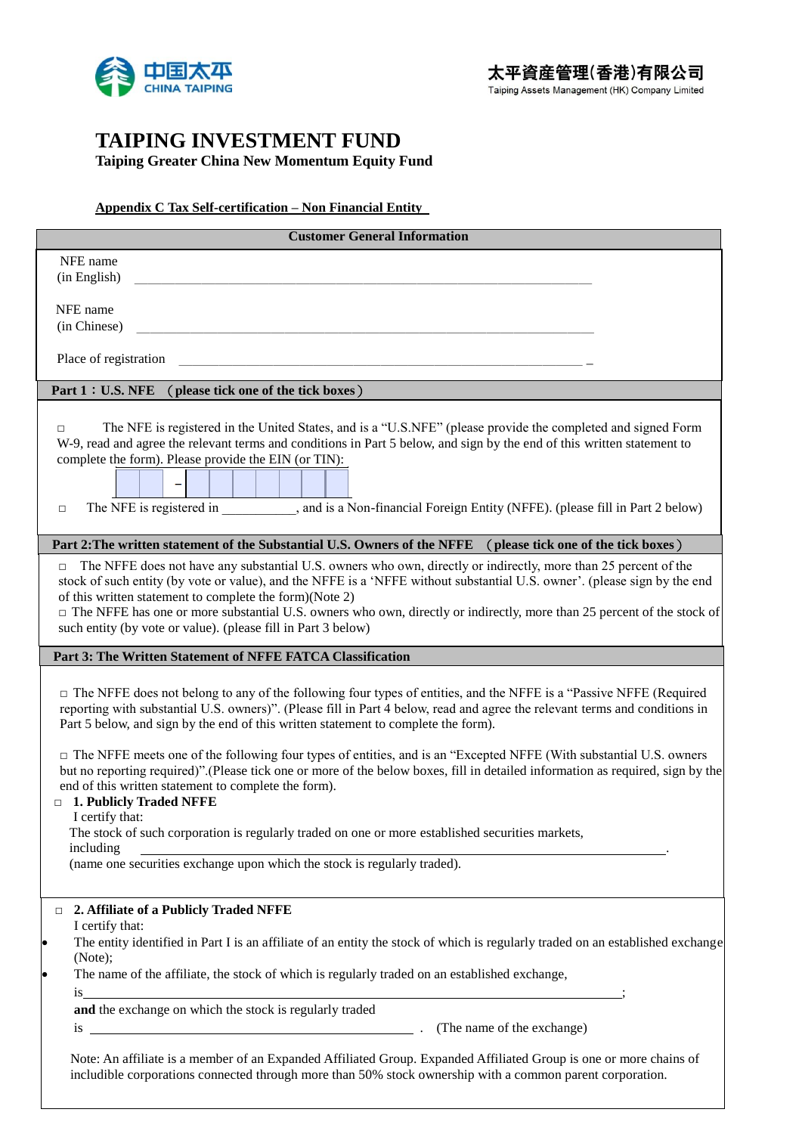

## **TAIPING INVESTMENT FUND**

**Taiping Greater China New Momentum Equity Fund**

**Appendix C Tax Self-certification – Non Financial Entity** 

| <b>Customer General Information</b>                                                                                                                                                                                                                                                                                                                                                                                                                                                                            |
|----------------------------------------------------------------------------------------------------------------------------------------------------------------------------------------------------------------------------------------------------------------------------------------------------------------------------------------------------------------------------------------------------------------------------------------------------------------------------------------------------------------|
| NFE name<br>(in English)                                                                                                                                                                                                                                                                                                                                                                                                                                                                                       |
| NFE name<br>(in Chinese)                                                                                                                                                                                                                                                                                                                                                                                                                                                                                       |
| Place of registration                                                                                                                                                                                                                                                                                                                                                                                                                                                                                          |
| Part 1: U.S. NFE<br>(please tick one of the tick boxes)                                                                                                                                                                                                                                                                                                                                                                                                                                                        |
| The NFE is registered in the United States, and is a "U.S.NFE" (please provide the completed and signed Form<br>$\Box$<br>W-9, read and agree the relevant terms and conditions in Part 5 below, and sign by the end of this written statement to<br>complete the form). Please provide the EIN (or TIN):<br>The NFE is registered in __________, and is a Non-financial Foreign Entity (NFFE). (please fill in Part 2 below)<br>$\Box$                                                                        |
| Part 2: The written statement of the Substantial U.S. Owners of the NFFE<br>(please tick one of the tick boxes)                                                                                                                                                                                                                                                                                                                                                                                                |
| The NFFE does not have any substantial U.S. owners who own, directly or indirectly, more than 25 percent of the<br>$\Box$<br>stock of such entity (by vote or value), and the NFFE is a 'NFFE without substantial U.S. owner'. (please sign by the end<br>of this written statement to complete the form)(Note 2)<br>□ The NFFE has one or more substantial U.S. owners who own, directly or indirectly, more than 25 percent of the stock of<br>such entity (by vote or value). (please fill in Part 3 below) |
| Part 3: The Written Statement of NFFE FATCA Classification                                                                                                                                                                                                                                                                                                                                                                                                                                                     |
| $\Box$ The NFFE does not belong to any of the following four types of entities, and the NFFE is a "Passive NFFE (Required<br>reporting with substantial U.S. owners)". (Please fill in Part 4 below, read and agree the relevant terms and conditions in<br>Part 5 below, and sign by the end of this written statement to complete the form).                                                                                                                                                                 |
| $\Box$ The NFFE meets one of the following four types of entities, and is an "Excepted NFFE (With substantial U.S. owners<br>but no reporting required)".(Please tick one or more of the below boxes, fill in detailed information as required, sign by the<br>end of this written statement to complete the form).<br>1. Publicly Traded NFFE<br>$\Box$                                                                                                                                                       |
| I certify that:<br>The stock of such corporation is regularly traded on one or more established securities markets,<br>including                                                                                                                                                                                                                                                                                                                                                                               |
| (name one securities exchange upon which the stock is regularly traded).                                                                                                                                                                                                                                                                                                                                                                                                                                       |
| 2. Affiliate of a Publicly Traded NFFE<br>$\Box$<br>I certify that:<br>The entity identified in Part I is an affiliate of an entity the stock of which is regularly traded on an established exchange<br>lo                                                                                                                                                                                                                                                                                                    |
| (Note);<br>The name of the affiliate, the stock of which is regularly traded on an established exchange,<br>þ                                                                                                                                                                                                                                                                                                                                                                                                  |
| $\frac{1}{18}$<br>and the exchange on which the stock is regularly traded<br>(The name of the exchange)<br>is                                                                                                                                                                                                                                                                                                                                                                                                  |
| Note: An affiliate is a member of an Expanded Affiliated Group. Expanded Affiliated Group is one or more chains of<br>includible corporations connected through more than 50% stock ownership with a common parent corporation.                                                                                                                                                                                                                                                                                |